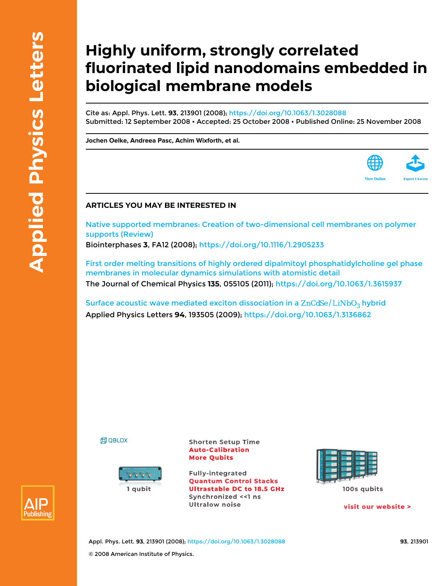## **Highly uniform, strongly correlated fluorinated lipid nanodomains embedded in biological membrane models**

Cite as: Appl. Phys. Lett. **93**, 213901 (2008);<https://doi.org/10.1063/1.3028088> Submitted: 12 September 2008 • Accepted: 25 October 2008 • Published Online: 25 November 2008

**[Jochen Oelke,](https://aip.scitation.org/author/Oelke%2C+Jochen) [Andreea Pasc,](https://aip.scitation.org/author/Pasc%2C+Andreea) [Achim Wixforth](https://aip.scitation.org/author/Wixforth%2C+Achim), et al.**



[Native supported membranes: Creation of two-dimensional cell membranes on polymer](https://aip.scitation.org/doi/10.1116/1.2905233) [supports \(Review\)](https://aip.scitation.org/doi/10.1116/1.2905233) Biointerphases **3**, FA12 (2008); <https://doi.org/10.1116/1.2905233>

[First order melting transitions of highly ordered dipalmitoyl phosphatidylcholine gel phase](https://aip.scitation.org/doi/10.1063/1.3615937) [membranes in molecular dynamics simulations with atomistic detail](https://aip.scitation.org/doi/10.1063/1.3615937) The Journal of Chemical Physics **135**, 055105 (2011); <https://doi.org/10.1063/1.3615937>

Surface acoustic wave mediated exciton dissociation in a  $ZnCdSe/LiNbO<sub>3</sub>$  hybrid Applied Physics Letters **94**, 193505 (2009);<https://doi.org/10.1063/1.3136862>





**Shorten Setup Time Auto-Calibration More Qubits** 

**Fully-integrated Quantum Control Stacks Ultrastable DC to 18.5 GHz** Synchronized <<1 ns **Ultralow noise** 



100s qubits

visit our website >



Appl. Phys. Lett. **93**, 213901 (2008); <https://doi.org/10.1063/1.3028088> **93**, 213901 © 2008 American Institute of Physics.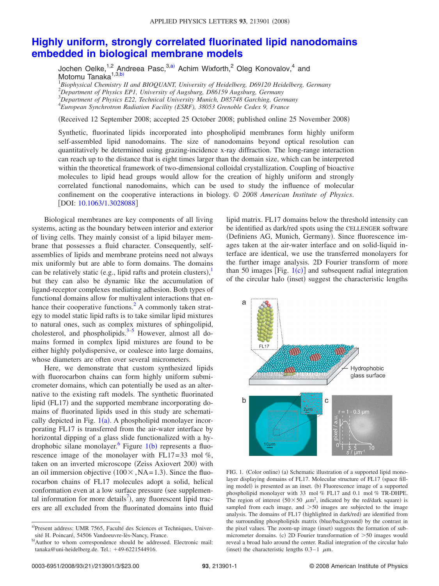## **[Highly uniform, strongly correlated fluorinated lipid nanodomains](http://dx.doi.org/10.1063/1.3028088) [embedded in biological membrane models](http://dx.doi.org/10.1063/1.3028088)**

Jochen Oelke,<sup>1,2</sup> Andreea Pasc,<sup>3[,a](#page-1-0))</sup> Achim Wixforth,<sup>2</sup> Oleg Konovalov,<sup>4</sup> and Motomu Tanaka<sup>1,3[,b](#page-1-1))</sup>

 *Biophysical Chemistry II and BIOQUANT, University of Heidelberg, D69120 Heidelberg, Germany Department of Physics EP1, University of Augsburg, D86159 Augsburg, Germany Department of Physics E22, Technical University Munich, D85748 Garching, Germany European Synchrotron Radiation Facility (ESRF), 38053 Grenoble Cedex 9, France*

Received 12 September 2008; accepted 25 October 2008; published online 25 November 2008-

Synthetic, fluorinated lipids incorporated into phospholipid membranes form highly uniform self-assembled lipid nanodomains. The size of nanodomains beyond optical resolution can quantitatively be determined using grazing-incidence x-ray diffraction. The long-range interaction can reach up to the distance that is eight times larger than the domain size, which can be interpreted within the theoretical framework of two-dimensional colloidal crystallization. Coupling of bioactive molecules to lipid head groups would allow for the creation of highly uniform and strongly correlated functional nanodomains, which can be used to study the influence of molecular confinement on the cooperative interactions in biology. © *2008 American Institute of Physics*. [DOI: [10.1063/1.3028088](http://dx.doi.org/10.1063/1.3028088)]

Biological membranes are key components of all living systems, acting as the boundary between interior and exterior of living cells. They mainly consist of a lipid bilayer membrane that possesses a fluid character. Consequently, selfassemblies of lipids and membrane proteins need not always mix uniformly but are able to form domains. The domains can be relatively static (e.g., lipid rafts and protein clusters), $^{1}$  $^{1}$  $^{1}$ but they can also be dynamic like the accumulation of ligand-receptor complexes mediating adhesion. Both types of functional domains allow for multivalent interactions that enhance their cooperative functions.<sup>2</sup> A commonly taken strategy to model static lipid rafts is to take similar lipid mixtures to natural ones, such as complex mixtures of sphingolipid, cholesterol, and phospholipids.<sup>3–[5](#page-3-3)</sup> However, almost all domains formed in complex lipid mixtures are found to be either highly polydispersive, or coalesce into large domains, whose diameters are often over several micrometers.

Here, we demonstrate that custom synthesized lipids with fluorocarbon chains can form highly uniform submicrometer domains, which can potentially be used as an alternative to the existing raft models. The synthetic fluorinated lipid (FL17) and the supported membrane incorporating domains of fluorinated lipids used in this study are schematically depicted in Fig.  $1(a)$  $1(a)$ . A phospholipid monolayer incorporating FL17 is transferred from the air-water interface by horizontal dipping of a glass slide functionalized with a hy-drophobic silane monolayer. <sup>6</sup> Figure [1](#page-1-2)(b) represents a fluorescence image of the monolayer with FL17= 33 mol *%*, taken on an inverted microscope (Zeiss Axiovert 200) with an oil immersion objective  $(100 \times, NA=1.3)$ . Since the fluorocarbon chains of FL17 molecules adopt a solid, helical conformation even at a low surface pressure (see supplemental information for more details<sup>7</sup>), any fluorescent lipid tracers are all excluded from the fluorinated domains into fluid

lipid matrix. FL17 domains below the threshold intensity can be identified as dark/red spots using the CELLENGER software (Definiens AG, Munich, Germany). Since fluorescence images taken at the air-water interface and on solid-liquid interface are identical, we use the transferred monolayers for the further image analysis. 2D Fourier transform of more than 50 images [Fig.  $1(c)$  $1(c)$ ] and subsequent radial integration of the circular halo (inset) suggest the characteristic lengths

<span id="page-1-2"></span>

FIG. 1. (Color online) (a) Schematic illustration of a supported lipid monolayer displaying domains of FL17. Molecular structure of FL17 (space filling model) is presented as an inset. (b) Fluorescence image of a supported phospholipid monolayer with 33 mol *%* FL17 and 0.1 mol *%* TR-DHPE. The region of interest  $(50 \times 50 \mu m^2)$ , indicated by the red/dark square) is sampled from each image, and  $>50$  images are subjected to the image analysis. The domains of FL17 (highlighted in dark/red) are identified from the surrounding phospholipids matrix (blue/background) by the contrast in the pixel values. The zoom-up image (inset) suggests the formation of submicrometer domains. (c) 2D Fourier transformation of  $>50$  images would reveal a broad halo around the center. Radial integration of the circular halo (inset) the characteristic lengths  $0.3-1$   $\mu$ m.

<span id="page-1-1"></span><span id="page-1-0"></span>a)Present address: UMR 7565, Faculté des Sciences et Techniques, Université H. Poincaré, 54506 Vandoeuvre-lès-Nancy, France.

b)Author to whom correspondence should be addressed. Electronic mail: tanaka@uni-heidelberg.de. Tel.: +49-6221544916.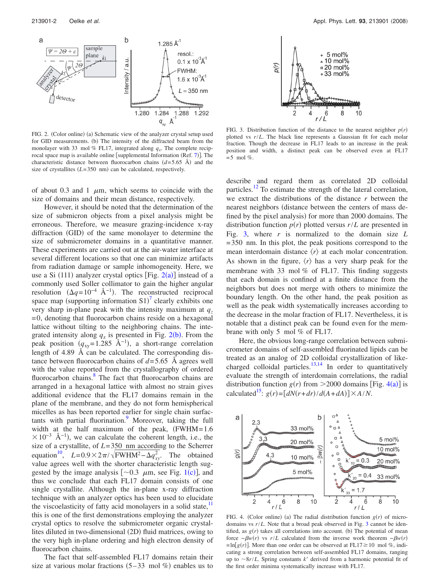<span id="page-2-0"></span>

FIG. 2. (Color online) (a) Schematic view of the analyzer crystal setup used for GID measurements. (b) The intensity of the diffracted beam from the monolayer with 33 mol  $\%$  FL17, integrated along  $q_z$ . The complete recip-rocal space map is available online [supplemental Information (Ref. [7](#page-3-5))]. The characteristic distance between fluorocarbon chains  $(d=5.65 \text{ Å})$  and the size of crystallites  $(L=350 \text{ nm})$  can be calculated, respectively.

of about 0.3 and 1  $\mu$ m, which seems to coincide with the size of domains and their mean distance, respectively.

However, it should be noted that the determination of the size of submicron objects from a pixel analysis might be erroneous. Therefore, we measure grazing-incidence x-ray diffraction (GID) of the same monolayer to determine the size of submicrometer domains in a quantitative manner. These experiments are carried out at the air-water interface at several different locations so that one can minimize artifacts from radiation damage or sample inhomogeneity. Here, we use a Si  $(111)$  analyzer crystal optics [Fig. [2](#page-2-0)(a)] instead of a commonly used Soller collimator to gain the higher angular resolution  $(\Delta q = 10^{-4} \text{ Å}^{-1})$ . The reconstructed reciprocal space map (supporting information  $S1$ )<sup>[7](#page-3-5)</sup> clearly exhibits one very sharp in-plane peak with the intensity maximum at  $q_z$  $= 0$ , denoting that fluorocarbon chains reside on a hexagonal lattice without tilting to the neighboring chains. The integrated intensity along  $q_z$  is presented in Fig. [2](#page-2-0)(b). From the peak position  $(q_{xy} = 1.285 \text{ Å}^{-1})$ , a short-range correlation length of 4.89 Å can be calculated. The corresponding distance between fluorocarbon chains of  $d=5.65$  Å agrees well with the value reported from the crystallography of ordered fluorocarbon chains.<sup>8</sup> The fact that fluorocarbon chains are arranged in a hexagonal lattice with almost no strain gives additional evidence that the FL17 domains remain in the plane of the membrane, and they do not form hemispherical micelles as has been reported earlier for single chain surfactants with partial fluorination.<sup>9</sup> Moreover, taking the full width at the half maximum of the peak,  $(FWHM = 1.6$  $\times 10^{-3}$  Å<sup>-1</sup>), we can calculate the coherent length, i.e., the size of a crystallite, of *L*= 350 nm according to the Scherrer equation<sup>10</sup>,  $L=0.9\times2\pi/\sqrt{\text{FWHM}^2-\Delta q_{xy}^2}$ . The obtained value agrees well with the shorter characteristic length suggested by the image analysis  $[\sim 0.3 \mu m$ , see Fig. [1](#page-1-2)(c)], and thus we conclude that each FL17 domain consists of one single crystallite. Although the in-plane x-ray diffraction technique with an analyzer optics has been used to elucidate the viscoelasticity of fatty acid monolayers in a solid state, $11$ this is one of the first demonstrations employing the analyzer crystal optics to resolve the submicrometer organic crystallites diluted in two-dimensional (2D) fluid matrices, owing to the very high in-plane ordering and high electron density of fluorocarbon chains.

The fact that self-assembled FL17 domains retain their size at various molar fractions  $(5-33 \text{ mol } \%)$  enables us to

<span id="page-2-1"></span>

FIG. 3. Distribution function of the distance to the nearest neighbor  $p(r)$ plotted vs *r*/*L*. The black line represents a Gaussian fit for each molar fraction. Though the decrease in FL17 leads to an increase in the peak position and width, a distinct peak can be observed even at FL17  $= 5$  mol %.

describe and regard them as correlated 2D colloidal particles[.12](#page-3-10) To estimate the strength of the lateral correlation, we extract the distributions of the distance *r* between the nearest neighbors (distance between the centers of mass defined by the pixel analysis) for more than 2000 domains. The distribution function  $p(r)$  plotted versus  $r/L$  are presented in Fig. [3,](#page-2-1) where *r* is normalized to the domain size *L* = 350 nm. In this plot, the peak positions correspond to the mean interdomain distance  $\langle r \rangle$  at each molar concentration. As shown in the figure,  $\langle r \rangle$  has a very sharp peak for the membrane with 33 mol *%* of FL17. This finding suggests that each domain is confined at a finite distance from the neighbors but does not merge with others to minimize the boundary length. On the other hand, the peak position as well as the peak width systematically increases according to the decrease in the molar fraction of FL17. Nevertheless, it is notable that a distinct peak can be found even for the membrane with only 5 mol *%* of FL17.

Here, the obvious long-range correlation between submicrometer domains of self-assembled fluorinated lipids can be treated as an analog of 2D colloidal crystallization of likecharged colloidal particles. $\frac{13,14}{10}$  $\frac{13,14}{10}$  $\frac{13,14}{10}$  In order to quantitatively evaluate the strength of interdomain correlations, the radial distribution function  $g(r)$  from  $>$  2000 domains [Fig. [4](#page-2-2)(a)] is calculated<sup>15</sup>:  $g(r) = [dN(r+dr)/d(A+dA)] \times A/N$ .

<span id="page-2-2"></span>

FIG. 4. (Color online) (a) The radial distribution function  $g(r)$  of microdomains vs *r*/*L*. Note that a broad peak observed in Fig. [3](#page-2-1) cannot be identified, as  $g(r)$  takes all correlations into account. (b) The potential of mean force  $-\beta w(r)$  vs  $r/L$  calculated from the inverse work theorem  $-\beta w(r)$  $=\ln[g(r)]$ . More than one order can be observed at FL17 $\geq$ 10 mol %, indicating a strong correlation between self-assembled FL17 domains, ranging up to  $\sim 8r/L$ . Spring constants *k'* derived from a harmonic potential fit of the first order minima systematically increase with FL17.